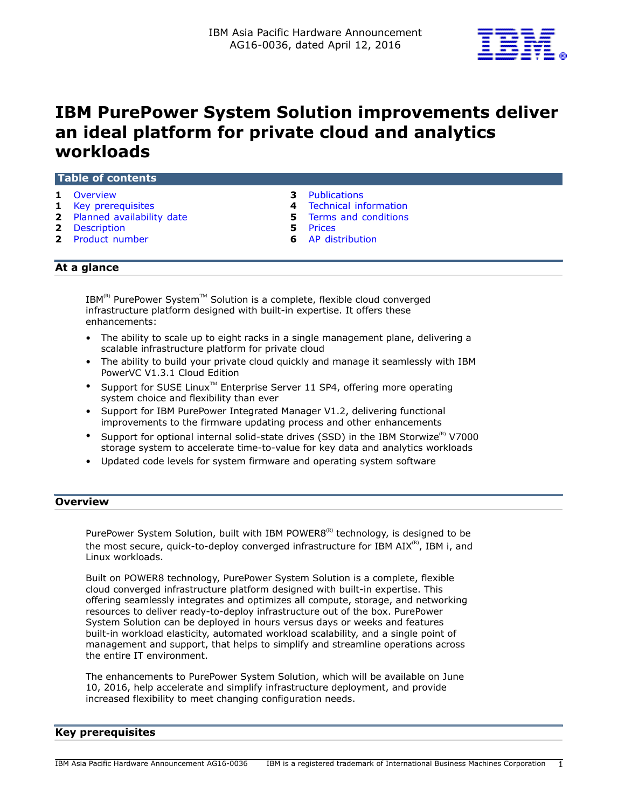

# **IBM PurePower System Solution improvements deliver an ideal platform for private cloud and analytics workloads**

## **Table of contents**

- 
- **1** [Key prerequisites](#page-0-1) **4** [Technical information](#page-3-0)
- **2** [Planned availability date](#page-1-0) **5** [Terms and conditions](#page-4-0)
- **2** [Description](#page-1-1) **5** [Prices](#page-4-1)
- **2** [Product number](#page-1-2) **6** [AP distribution](#page-5-0)
- **1** [Overview](#page-0-0) **3** [Publications](#page-2-0)
	-
	-
	-
	-

# **At a glance**

 $IBM^{(R)}$  PurePower System<sup>TM</sup> Solution is a complete, flexible cloud converged infrastructure platform designed with built-in expertise. It offers these enhancements:

- The ability to scale up to eight racks in a single management plane, delivering a scalable infrastructure platform for private cloud
- The ability to build your private cloud quickly and manage it seamlessly with IBM PowerVC V1.3.1 Cloud Edition
- Support for SUSE Linux<sup>™</sup> Enterprise Server 11 SP4, offering more operating system choice and flexibility than ever
- Support for IBM PurePower Integrated Manager V1.2, delivering functional improvements to the firmware updating process and other enhancements
- Support for optional internal solid-state drives (SSD) in the IBM Storwize<sup>(R)</sup> V7000 storage system to accelerate time-to-value for key data and analytics workloads
- Updated code levels for system firmware and operating system software

# <span id="page-0-0"></span>**Overview**

PurePower System Solution, built with IBM POWER8<sup>(R)</sup> technology, is designed to be the most secure, quick-to-deploy converged infrastructure for IBM  $AIX^{(R)}$ , IBM i, and Linux workloads.

Built on POWER8 technology, PurePower System Solution is a complete, flexible cloud converged infrastructure platform designed with built-in expertise. This offering seamlessly integrates and optimizes all compute, storage, and networking resources to deliver ready-to-deploy infrastructure out of the box. PurePower System Solution can be deployed in hours versus days or weeks and features built-in workload elasticity, automated workload scalability, and a single point of management and support, that helps to simplify and streamline operations across the entire IT environment.

The enhancements to PurePower System Solution, which will be available on June 10, 2016, help accelerate and simplify infrastructure deployment, and provide increased flexibility to meet changing configuration needs.

# <span id="page-0-1"></span>**Key prerequisites**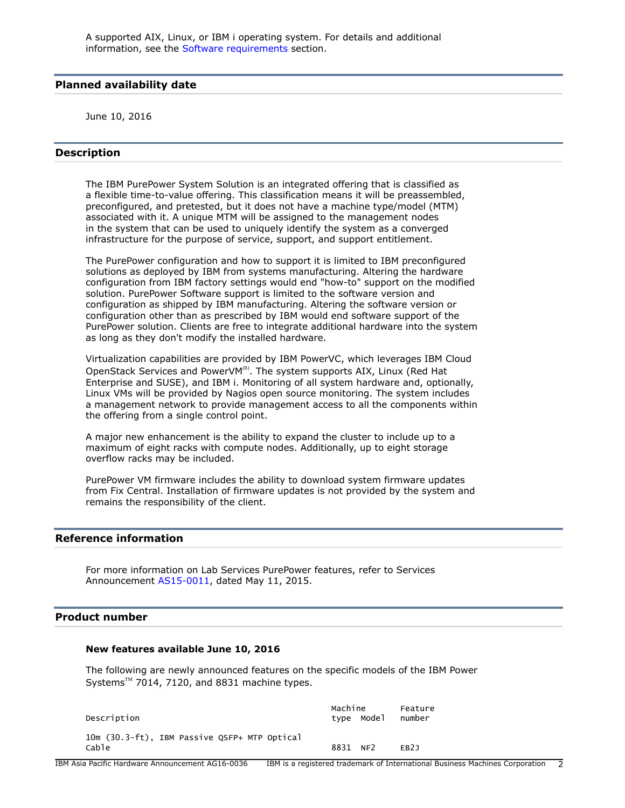## <span id="page-1-0"></span>**Planned availability date**

June 10, 2016

## <span id="page-1-1"></span>**Description**

The IBM PurePower System Solution is an integrated offering that is classified as a flexible time-to-value offering. This classification means it will be preassembled, preconfigured, and pretested, but it does not have a machine type/model (MTM) associated with it. A unique MTM will be assigned to the management nodes in the system that can be used to uniquely identify the system as a converged infrastructure for the purpose of service, support, and support entitlement.

The PurePower configuration and how to support it is limited to IBM preconfigured solutions as deployed by IBM from systems manufacturing. Altering the hardware configuration from IBM factory settings would end "how-to" support on the modified solution. PurePower Software support is limited to the software version and configuration as shipped by IBM manufacturing. Altering the software version or configuration other than as prescribed by IBM would end software support of the PurePower solution. Clients are free to integrate additional hardware into the system as long as they don't modify the installed hardware.

Virtualization capabilities are provided by IBM PowerVC, which leverages IBM Cloud OpenStack Services and PowerVM(R). The system supports AIX, Linux (Red Hat Enterprise and SUSE), and IBM i. Monitoring of all system hardware and, optionally, Linux VMs will be provided by Nagios open source monitoring. The system includes a management network to provide management access to all the components within the offering from a single control point.

A major new enhancement is the ability to expand the cluster to include up to a maximum of eight racks with compute nodes. Additionally, up to eight storage overflow racks may be included.

PurePower VM firmware includes the ability to download system firmware updates from Fix Central. Installation of firmware updates is not provided by the system and remains the responsibility of the client.

# **Reference information**

For more information on Lab Services PurePower features, refer to Services Announcement [AS15-0011,](http://www.ibm.com/common/ssi/cgi-bin/ssialias?infotype=an&subtype=ca&appname=gpateam&supplier=872&letternum=ENUSAS15-0011) dated May 11, 2015.

## <span id="page-1-2"></span>**Product number**

#### **New features available June 10, 2016**

The following are newly announced features on the specific models of the IBM Power Systems™ 7014, 7120, and 8831 machine types.

| Description                                           | Machine  | type Model | Feature<br>number |
|-------------------------------------------------------|----------|------------|-------------------|
| 10m (30.3-ft), IBM Passive QSFP+ MTP Optical<br>Cable | 8831 NF2 |            | FR <sub>21</sub>  |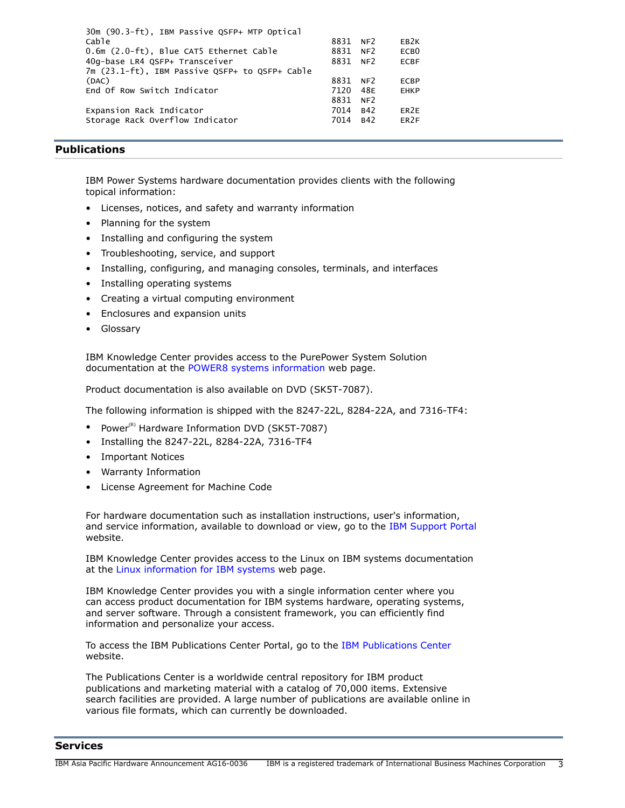| 30m (90.3-ft), IBM Passive QSFP+ MTP Optical   |      |                 |                  |
|------------------------------------------------|------|-----------------|------------------|
| Cable                                          | 8831 | NF <sub>2</sub> | EB <sub>2K</sub> |
| 0.6m (2.0-ft), Blue CAT5 Ethernet Cable        | 8831 | NF <sub>2</sub> | ECB <sub>0</sub> |
| 40g-base LR4 QSFP+ Transceiver                 | 8831 | NF <sub>2</sub> | <b>ECBF</b>      |
| 7m (23.1-ft), IBM Passive QSFP+ to QSFP+ Cable |      |                 |                  |
| (DAC)                                          | 8831 | NF <sub>2</sub> | <b>ECBP</b>      |
| End Of Row Switch Indicator                    | 7120 | 48F             | <b>EHKP</b>      |
|                                                | 8831 | NF <sub>2</sub> |                  |
| Expansion Rack Indicator                       | 7014 | R42             | ER <sub>2E</sub> |
| Storage Rack Overflow Indicator                | 7014 | B42             | ER <sub>2F</sub> |

# <span id="page-2-0"></span>**Publications**

IBM Power Systems hardware documentation provides clients with the following topical information:

- Licenses, notices, and safety and warranty information
- Planning for the system
- Installing and configuring the system
- Troubleshooting, service, and support
- Installing, configuring, and managing consoles, terminals, and interfaces
- Installing operating systems
- Creating a virtual computing environment
- Enclosures and expansion units
- Glossary

IBM Knowledge Center provides access to the PurePower System Solution documentation at th[e POWER8 systems information w](http://www.ibm.com/support/knowledgecenter/POWER8)eb page.

Product documentation is also available on DVD (SK5T-7087).

The following information is shipped with the 8247-22L, 8284-22A, and 7316-TF4:

- Power $(R)$  Hardware Information DVD (SK5T-7087)
- Installing the 8247-22L, 8284-22A, 7316-TF4
- Important Notices
- Warranty Information
- License Agreement for Machine Code

For hardware documentation such as installation instructions, user's information, and service information, available to download or view, go to th[e IBM Support Portal](http://www.ibm.com/support) website.

IBM Knowledge Center provides access to the Linux on IBM systems documentation at the [Linux information for IBM systems w](http://www.ibm.com/support/knowledgecenter/linuxonibm/liaab/ic-homepage.htm?lang=en)eb page.

IBM Knowledge Center provides you with a single information center where you can access product documentation for IBM systems hardware, operating systems, and server software. Through a consistent framework, you can efficiently find information and personalize your access.

To access the IBM Publications Center Portal, go to the [IBM Publications Center](http://www.ibm.com/shop/publications/order) website.

The Publications Center is a worldwide central repository for IBM product publications and marketing material with a catalog of 70,000 items. Extensive search facilities are provided. A large number of publications are available online in various file formats, which can currently be downloaded.

## **Services**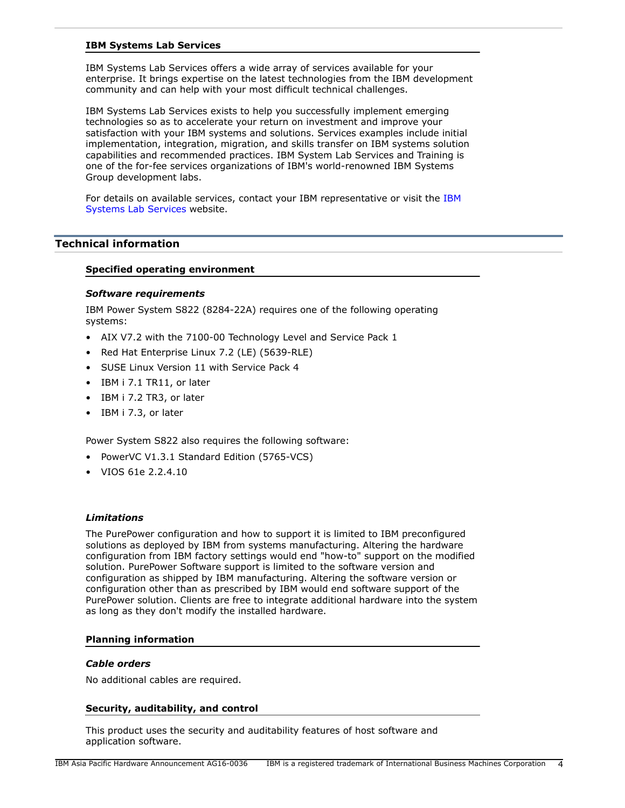### **IBM Systems Lab Services**

IBM Systems Lab Services offers a wide array of services available for your enterprise. It brings expertise on the latest technologies from the IBM development community and can help with your most difficult technical challenges.

IBM Systems Lab Services exists to help you successfully implement emerging technologies so as to accelerate your return on investment and improve your satisfaction with your IBM systems and solutions. Services examples include initial implementation, integration, migration, and skills transfer on IBM systems solution capabilities and recommended practices. IBM System Lab Services and Training is one of the for-fee services organizations of IBM's world-renowned IBM Systems Group development labs.

For details on available services, contact your IBM representative or visit th[e IBM](http://www.ibm.com/systems/services/labservices/) [Systems Lab Services w](http://www.ibm.com/systems/services/labservices/)ebsite.

# <span id="page-3-0"></span>**Technical information**

## **Specified operating environment**

#### <span id="page-3-1"></span>*Software requirements*

IBM Power System S822 (8284-22A) requires one of the following operating systems:

- AIX V7.2 with the 7100-00 Technology Level and Service Pack 1
- Red Hat Enterprise Linux 7.2 (LE) (5639-RLE)
- SUSE Linux Version 11 with Service Pack 4
- IBM i 7.1 TR11, or later
- IBM i 7.2 TR3, or later
- IBM i 7.3, or later

Power System S822 also requires the following software:

- PowerVC V1.3.1 Standard Edition (5765-VCS)
- VIOS 61e 2.2.4.10

## *Limitations*

The PurePower configuration and how to support it is limited to IBM preconfigured solutions as deployed by IBM from systems manufacturing. Altering the hardware configuration from IBM factory settings would end "how-to" support on the modified solution. PurePower Software support is limited to the software version and configuration as shipped by IBM manufacturing. Altering the software version or configuration other than as prescribed by IBM would end software support of the PurePower solution. Clients are free to integrate additional hardware into the system as long as they don't modify the installed hardware.

# **Planning information**

#### *Cable orders*

No additional cables are required.

#### **Security, auditability, and control**

This product uses the security and auditability features of host software and application software.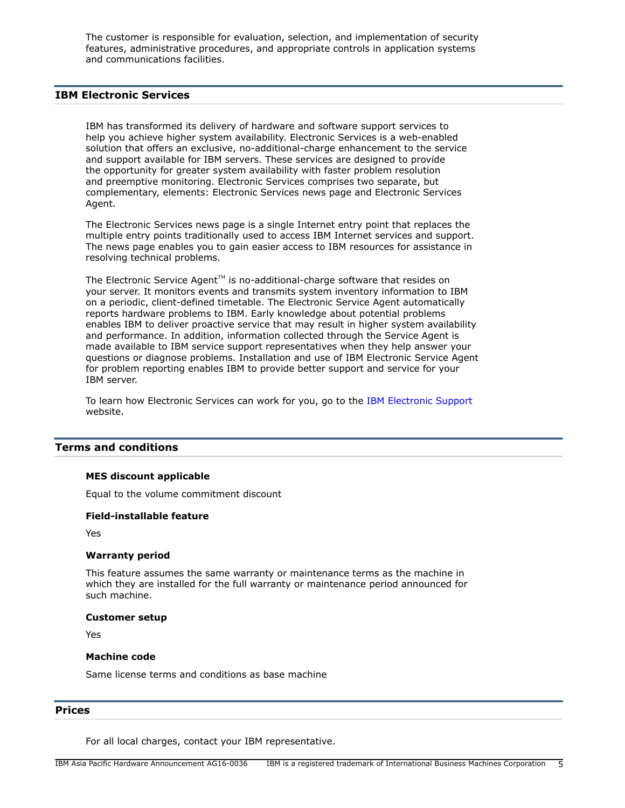The customer is responsible for evaluation, selection, and implementation of security features, administrative procedures, and appropriate controls in application systems and communications facilities.

# **IBM Electronic Services**

IBM has transformed its delivery of hardware and software support services to help you achieve higher system availability. Electronic Services is a web-enabled solution that offers an exclusive, no-additional-charge enhancement to the service and support available for IBM servers. These services are designed to provide the opportunity for greater system availability with faster problem resolution and preemptive monitoring. Electronic Services comprises two separate, but complementary, elements: Electronic Services news page and Electronic Services Agent.

The Electronic Services news page is a single Internet entry point that replaces the multiple entry points traditionally used to access IBM Internet services and support. The news page enables you to gain easier access to IBM resources for assistance in resolving technical problems.

The Electronic Service Agent $T^M$  is no-additional-charge software that resides on your server. It monitors events and transmits system inventory information to IBM on a periodic, client-defined timetable. The Electronic Service Agent automatically reports hardware problems to IBM. Early knowledge about potential problems enables IBM to deliver proactive service that may result in higher system availability and performance. In addition, information collected through the Service Agent is made available to IBM service support representatives when they help answer your questions or diagnose problems. Installation and use of IBM Electronic Service Agent for problem reporting enables IBM to provide better support and service for your IBM server.

To learn how Electronic Services can work for you, go to th[e IBM Electronic Support](http://www.ibm.com/support/electronic) website.

## <span id="page-4-0"></span>**Terms and conditions**

#### **MES discount applicable**

Equal to the volume commitment discount

## **Field-installable feature**

Yes

#### **Warranty period**

This feature assumes the same warranty or maintenance terms as the machine in which they are installed for the full warranty or maintenance period announced for such machine.

#### **Customer setup**

Yes

#### **Machine code**

Same license terms and conditions as base machine

#### <span id="page-4-1"></span>**Prices**

For all local charges, contact your IBM representative.